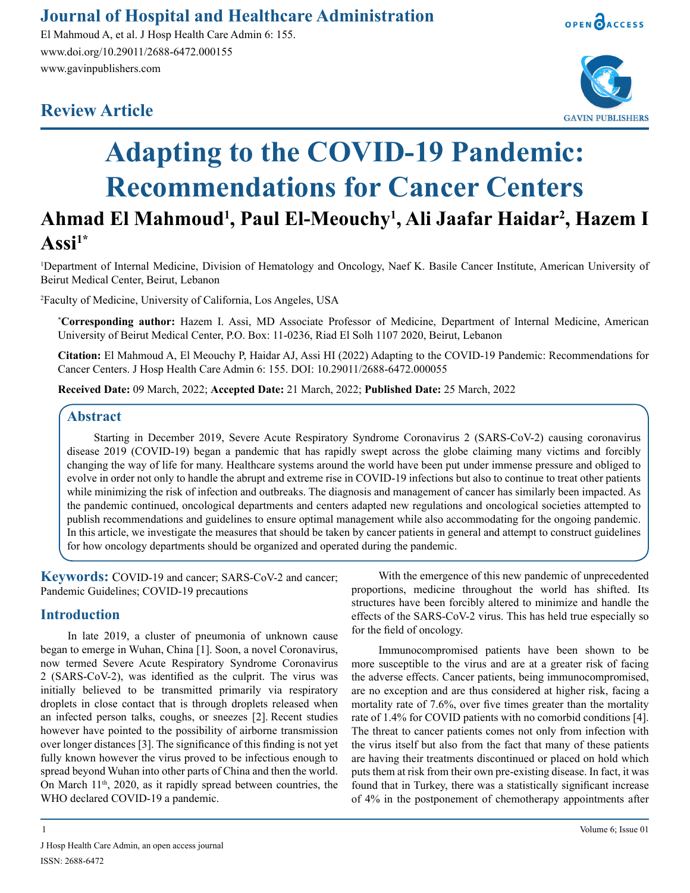## **Journal of Hospital and Healthcare Administration**

El Mahmoud A, et al. J Hosp Health Care Admin 6: 155. www.doi.org/10.29011/2688-6472.000155 www.gavinpublishers.com

# **Review Article**





# **Adapting to the COVID-19 Pandemic: Recommendations for Cancer Centers**

# **Ahmad El Mahmoud1 , Paul El-Meouchy1 , Ali Jaafar Haidar2 , Hazem I**   $\bf Assi^{1*}$

1 Department of Internal Medicine, Division of Hematology and Oncology, Naef K. Basile Cancer Institute, American University of Beirut Medical Center, Beirut, Lebanon

2 Faculty of Medicine, University of California, Los Angeles, USA

**\* Corresponding author:** Hazem I. Assi, MD Associate Professor of Medicine, Department of Internal Medicine, American University of Beirut Medical Center, P.O. Box: 11-0236, Riad El Solh 1107 2020, Beirut, Lebanon

**Citation:** El Mahmoud A, El Meouchy P, Haidar AJ, Assi HI (2022) Adapting to the COVID-19 Pandemic: Recommendations for Cancer Centers. J Hosp Health Care Admin 6: 155. DOI: 10.29011/2688-6472.000055

**Received Date:** 09 March, 2022; **Accepted Date:** 21 March, 2022; **Published Date:** 25 March, 2022

## **Abstract**

Starting in December 2019, Severe Acute Respiratory Syndrome Coronavirus 2 (SARS-CoV-2) causing coronavirus disease 2019 (COVID-19) began a pandemic that has rapidly swept across the globe claiming many victims and forcibly changing the way of life for many. Healthcare systems around the world have been put under immense pressure and obliged to evolve in order not only to handle the abrupt and extreme rise in COVID-19 infections but also to continue to treat other patients while minimizing the risk of infection and outbreaks. The diagnosis and management of cancer has similarly been impacted. As the pandemic continued, oncological departments and centers adapted new regulations and oncological societies attempted to publish recommendations and guidelines to ensure optimal management while also accommodating for the ongoing pandemic. In this article, we investigate the measures that should be taken by cancer patients in general and attempt to construct guidelines for how oncology departments should be organized and operated during the pandemic.

**Keywords:** COVID-19 and cancer; SARS-CoV-2 and cancer; Pandemic Guidelines; COVID-19 precautions

## **Introduction**

In late 2019, a cluster of pneumonia of unknown cause began to emerge in Wuhan, China [1]. Soon, a novel Coronavirus, now termed Severe Acute Respiratory Syndrome Coronavirus 2 (SARS-CoV-2), was identified as the culprit. The virus was initially believed to be transmitted primarily via respiratory droplets in close contact that is through droplets released when an infected person talks, coughs, or sneezes [2]. Recent studies however have pointed to the possibility of airborne transmission over longer distances [3]. The significance of this finding is not yet fully known however the virus proved to be infectious enough to spread beyond Wuhan into other parts of China and then the world. On March 11<sup>th</sup>, 2020, as it rapidly spread between countries, the WHO declared COVID-19 a pandemic.

With the emergence of this new pandemic of unprecedented proportions, medicine throughout the world has shifted. Its structures have been forcibly altered to minimize and handle the effects of the SARS-CoV-2 virus. This has held true especially so for the field of oncology.

Immunocompromised patients have been shown to be more susceptible to the virus and are at a greater risk of facing the adverse effects. Cancer patients, being immunocompromised, are no exception and are thus considered at higher risk, facing a mortality rate of 7.6%, over five times greater than the mortality rate of 1.4% for COVID patients with no comorbid conditions [4]. The threat to cancer patients comes not only from infection with the virus itself but also from the fact that many of these patients are having their treatments discontinued or placed on hold which puts them at risk from their own pre-existing disease. In fact, it was found that in Turkey, there was a statistically significant increase of 4% in the postponement of chemotherapy appointments after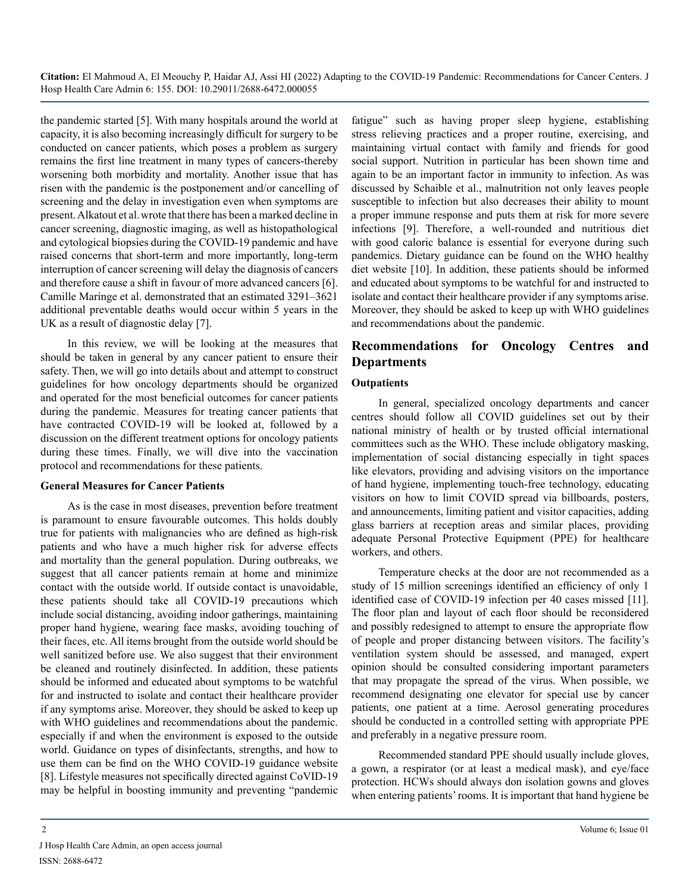the pandemic started [5]. With many hospitals around the world at capacity, it is also becoming increasingly difficult for surgery to be conducted on cancer patients, which poses a problem as surgery remains the first line treatment in many types of cancers-thereby worsening both morbidity and mortality. Another issue that has risen with the pandemic is the postponement and/or cancelling of screening and the delay in investigation even when symptoms are present. Alkatout et al.wrote that there has been a marked decline in cancer screening, diagnostic imaging, as well as histopathological and cytological biopsies during the COVID-19 pandemic and have raised concerns that short-term and more importantly, long-term interruption of cancer screening will delay the diagnosis of cancers and therefore cause a shift in favour of more advanced cancers [6]. Camille Maringe et al. demonstrated that an estimated 3291–3621 additional preventable deaths would occur within 5 years in the UK as a result of diagnostic delay [7].

In this review, we will be looking at the measures that should be taken in general by any cancer patient to ensure their safety. Then, we will go into details about and attempt to construct guidelines for how oncology departments should be organized and operated for the most beneficial outcomes for cancer patients during the pandemic. Measures for treating cancer patients that have contracted COVID-19 will be looked at, followed by a discussion on the different treatment options for oncology patients during these times. Finally, we will dive into the vaccination protocol and recommendations for these patients.

## **General Measures for Cancer Patients**

As is the case in most diseases, prevention before treatment is paramount to ensure favourable outcomes. This holds doubly true for patients with malignancies who are defined as high-risk patients and who have a much higher risk for adverse effects and mortality than the general population. During outbreaks, we suggest that all cancer patients remain at home and minimize contact with the outside world. If outside contact is unavoidable, these patients should take all COVID-19 precautions which include social distancing, avoiding indoor gatherings, maintaining proper hand hygiene, wearing face masks, avoiding touching of their faces, etc. All items brought from the outside world should be well sanitized before use. We also suggest that their environment be cleaned and routinely disinfected. In addition, these patients should be informed and educated about symptoms to be watchful for and instructed to isolate and contact their healthcare provider if any symptoms arise. Moreover, they should be asked to keep up with WHO guidelines and recommendations about the pandemic. especially if and when the environment is exposed to the outside world. Guidance on types of disinfectants, strengths, and how to use them can be find on the WHO COVID-19 guidance website [8]. Lifestyle measures not specifically directed against CoVID-19 may be helpful in boosting immunity and preventing "pandemic

fatigue" such as having proper sleep hygiene, establishing stress relieving practices and a proper routine, exercising, and maintaining virtual contact with family and friends for good social support. Nutrition in particular has been shown time and again to be an important factor in immunity to infection. As was discussed by Schaible et al., malnutrition not only leaves people susceptible to infection but also decreases their ability to mount a proper immune response and puts them at risk for more severe infections [9]. Therefore, a well-rounded and nutritious diet with good caloric balance is essential for everyone during such pandemics. Dietary guidance can be found on the WHO healthy diet website [10]. In addition, these patients should be informed and educated about symptoms to be watchful for and instructed to isolate and contact their healthcare provider if any symptoms arise. Moreover, they should be asked to keep up with WHO guidelines and recommendations about the pandemic.

## **Recommendations for Oncology Centres and Departments**

## **Outpatients**

In general, specialized oncology departments and cancer centres should follow all COVID guidelines set out by their national ministry of health or by trusted official international committees such as the WHO. These include obligatory masking, implementation of social distancing especially in tight spaces like elevators, providing and advising visitors on the importance of hand hygiene, implementing touch-free technology, educating visitors on how to limit COVID spread via billboards, posters, and announcements, limiting patient and visitor capacities, adding glass barriers at reception areas and similar places, providing adequate Personal Protective Equipment (PPE) for healthcare workers, and others.

Temperature checks at the door are not recommended as a study of 15 million screenings identified an efficiency of only 1 identified case of COVID-19 infection per 40 cases missed [11]. The floor plan and layout of each floor should be reconsidered and possibly redesigned to attempt to ensure the appropriate flow of people and proper distancing between visitors. The facility's ventilation system should be assessed, and managed, expert opinion should be consulted considering important parameters that may propagate the spread of the virus. When possible, we recommend designating one elevator for special use by cancer patients, one patient at a time. Aerosol generating procedures should be conducted in a controlled setting with appropriate PPE and preferably in a negative pressure room.

Recommended standard PPE should usually include gloves, a gown, a respirator (or at least a medical mask), and eye/face protection. HCWs should always don isolation gowns and gloves when entering patients' rooms. It is important that hand hygiene be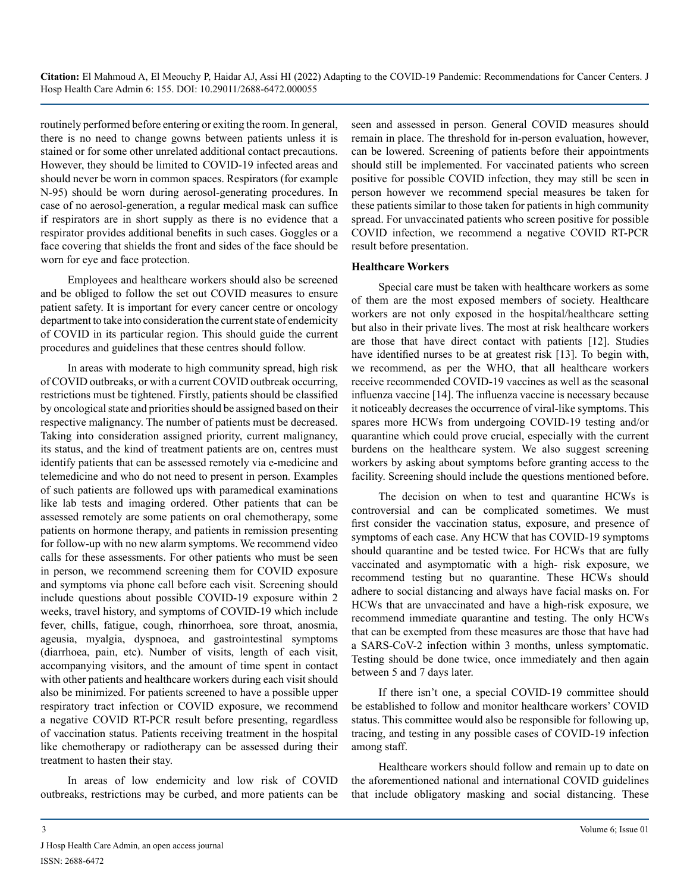routinely performed before entering or exiting the room. In general, there is no need to change gowns between patients unless it is stained or for some other unrelated additional contact precautions. However, they should be limited to COVID-19 infected areas and should never be worn in common spaces. Respirators (for example N-95) should be worn during aerosol-generating procedures. In case of no aerosol-generation, a regular medical mask can suffice if respirators are in short supply as there is no evidence that a respirator provides additional benefits in such cases. Goggles or a face covering that shields the front and sides of the face should be worn for eye and face protection.

Employees and healthcare workers should also be screened and be obliged to follow the set out COVID measures to ensure patient safety. It is important for every cancer centre or oncology department to take into consideration the current state of endemicity of COVID in its particular region. This should guide the current procedures and guidelines that these centres should follow.

In areas with moderate to high community spread, high risk of COVID outbreaks, or with a current COVID outbreak occurring, restrictions must be tightened. Firstly, patients should be classified by oncological state and priorities should be assigned based on their respective malignancy. The number of patients must be decreased. Taking into consideration assigned priority, current malignancy, its status, and the kind of treatment patients are on, centres must identify patients that can be assessed remotely via e-medicine and telemedicine and who do not need to present in person. Examples of such patients are followed ups with paramedical examinations like lab tests and imaging ordered. Other patients that can be assessed remotely are some patients on oral chemotherapy, some patients on hormone therapy, and patients in remission presenting for follow-up with no new alarm symptoms. We recommend video calls for these assessments. For other patients who must be seen in person, we recommend screening them for COVID exposure and symptoms via phone call before each visit. Screening should include questions about possible COVID-19 exposure within 2 weeks, travel history, and symptoms of COVID-19 which include fever, chills, fatigue, cough, rhinorrhoea, sore throat, anosmia, ageusia, myalgia, dyspnoea, and gastrointestinal symptoms (diarrhoea, pain, etc). Number of visits, length of each visit, accompanying visitors, and the amount of time spent in contact with other patients and healthcare workers during each visit should also be minimized. For patients screened to have a possible upper respiratory tract infection or COVID exposure, we recommend a negative COVID RT-PCR result before presenting, regardless of vaccination status. Patients receiving treatment in the hospital like chemotherapy or radiotherapy can be assessed during their treatment to hasten their stay.

In areas of low endemicity and low risk of COVID outbreaks, restrictions may be curbed, and more patients can be seen and assessed in person. General COVID measures should remain in place. The threshold for in-person evaluation, however, can be lowered. Screening of patients before their appointments should still be implemented. For vaccinated patients who screen positive for possible COVID infection, they may still be seen in person however we recommend special measures be taken for these patients similar to those taken for patients in high community spread. For unvaccinated patients who screen positive for possible COVID infection, we recommend a negative COVID RT-PCR result before presentation.

#### **Healthcare Workers**

Special care must be taken with healthcare workers as some of them are the most exposed members of society. Healthcare workers are not only exposed in the hospital/healthcare setting but also in their private lives. The most at risk healthcare workers are those that have direct contact with patients [12]. Studies have identified nurses to be at greatest risk [13]. To begin with, we recommend, as per the WHO, that all healthcare workers receive recommended COVID-19 vaccines as well as the seasonal influenza vaccine [14]. The influenza vaccine is necessary because it noticeably decreases the occurrence of viral-like symptoms. This spares more HCWs from undergoing COVID-19 testing and/or quarantine which could prove crucial, especially with the current burdens on the healthcare system. We also suggest screening workers by asking about symptoms before granting access to the facility. Screening should include the questions mentioned before.

The decision on when to test and quarantine HCWs is controversial and can be complicated sometimes. We must first consider the vaccination status, exposure, and presence of symptoms of each case. Any HCW that has COVID-19 symptoms should quarantine and be tested twice. For HCWs that are fully vaccinated and asymptomatic with a high- risk exposure, we recommend testing but no quarantine. These HCWs should adhere to social distancing and always have facial masks on. For HCWs that are unvaccinated and have a high-risk exposure, we recommend immediate quarantine and testing. The only HCWs that can be exempted from these measures are those that have had a SARS-CoV-2 infection within 3 months, unless symptomatic. Testing should be done twice, once immediately and then again between 5 and 7 days later.

If there isn't one, a special COVID-19 committee should be established to follow and monitor healthcare workers' COVID status. This committee would also be responsible for following up, tracing, and testing in any possible cases of COVID-19 infection among staff.

Healthcare workers should follow and remain up to date on the aforementioned national and international COVID guidelines that include obligatory masking and social distancing. These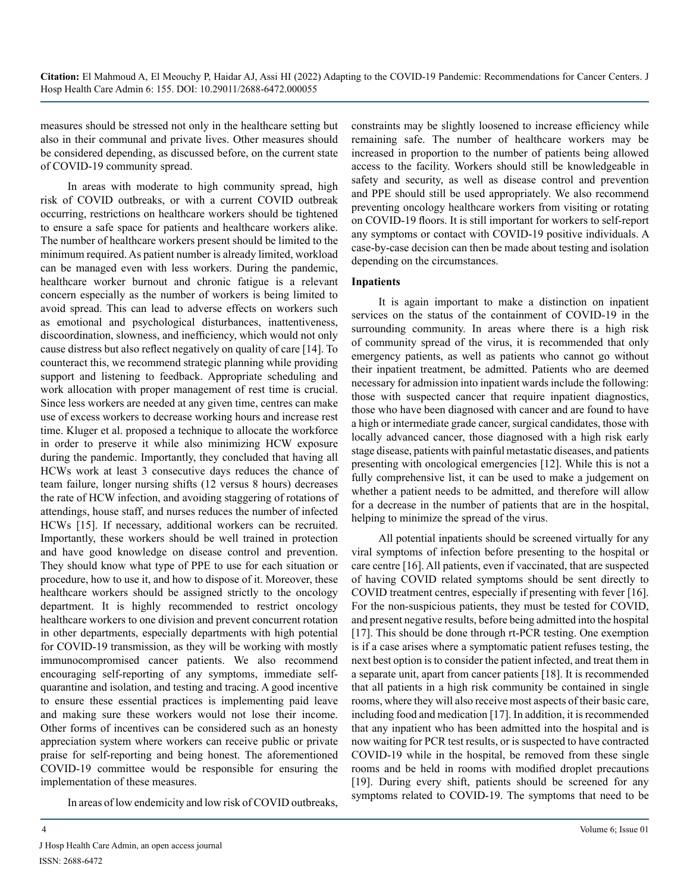measures should be stressed not only in the healthcare setting but also in their communal and private lives. Other measures should be considered depending, as discussed before, on the current state of COVID-19 community spread.

In areas with moderate to high community spread, high risk of COVID outbreaks, or with a current COVID outbreak occurring, restrictions on healthcare workers should be tightened to ensure a safe space for patients and healthcare workers alike. The number of healthcare workers present should be limited to the minimum required. As patient number is already limited, workload can be managed even with less workers. During the pandemic, healthcare worker burnout and chronic fatigue is a relevant concern especially as the number of workers is being limited to avoid spread. This can lead to adverse effects on workers such as emotional and psychological disturbances, inattentiveness, discoordination, slowness, and inefficiency, which would not only cause distress but also reflect negatively on quality of care [14]. To counteract this, we recommend strategic planning while providing support and listening to feedback. Appropriate scheduling and work allocation with proper management of rest time is crucial. Since less workers are needed at any given time, centres can make use of excess workers to decrease working hours and increase rest time. Kluger et al. proposed a technique to allocate the workforce in order to preserve it while also minimizing HCW exposure during the pandemic. Importantly, they concluded that having all HCWs work at least 3 consecutive days reduces the chance of team failure, longer nursing shifts (12 versus 8 hours) decreases the rate of HCW infection, and avoiding staggering of rotations of attendings, house staff, and nurses reduces the number of infected HCWs [15]. If necessary, additional workers can be recruited. Importantly, these workers should be well trained in protection and have good knowledge on disease control and prevention. They should know what type of PPE to use for each situation or procedure, how to use it, and how to dispose of it. Moreover, these healthcare workers should be assigned strictly to the oncology department. It is highly recommended to restrict oncology healthcare workers to one division and prevent concurrent rotation in other departments, especially departments with high potential for COVID-19 transmission, as they will be working with mostly immunocompromised cancer patients. We also recommend encouraging self-reporting of any symptoms, immediate selfquarantine and isolation, and testing and tracing. A good incentive to ensure these essential practices is implementing paid leave and making sure these workers would not lose their income. Other forms of incentives can be considered such as an honesty appreciation system where workers can receive public or private praise for self-reporting and being honest. The aforementioned COVID-19 committee would be responsible for ensuring the implementation of these measures.

In areas of low endemicity and low risk of COVID outbreaks,

constraints may be slightly loosened to increase efficiency while remaining safe. The number of healthcare workers may be increased in proportion to the number of patients being allowed access to the facility. Workers should still be knowledgeable in safety and security, as well as disease control and prevention and PPE should still be used appropriately. We also recommend preventing oncology healthcare workers from visiting or rotating on COVID-19 floors. It is still important for workers to self-report any symptoms or contact with COVID-19 positive individuals. A case-by-case decision can then be made about testing and isolation depending on the circumstances.

## **Inpatients**

It is again important to make a distinction on inpatient services on the status of the containment of COVID-19 in the surrounding community. In areas where there is a high risk of community spread of the virus, it is recommended that only emergency patients, as well as patients who cannot go without their inpatient treatment, be admitted. Patients who are deemed necessary for admission into inpatient wards include the following: those with suspected cancer that require inpatient diagnostics, those who have been diagnosed with cancer and are found to have a high or intermediate grade cancer, surgical candidates, those with locally advanced cancer, those diagnosed with a high risk early stage disease, patients with painful metastatic diseases, and patients presenting with oncological emergencies [12]. While this is not a fully comprehensive list, it can be used to make a judgement on whether a patient needs to be admitted, and therefore will allow for a decrease in the number of patients that are in the hospital, helping to minimize the spread of the virus.

All potential inpatients should be screened virtually for any viral symptoms of infection before presenting to the hospital or care centre [16]. All patients, even if vaccinated, that are suspected of having COVID related symptoms should be sent directly to COVID treatment centres, especially if presenting with fever [16]. For the non-suspicious patients, they must be tested for COVID, and present negative results, before being admitted into the hospital [17]. This should be done through rt-PCR testing. One exemption is if a case arises where a symptomatic patient refuses testing, the next best option is to consider the patient infected, and treat them in a separate unit, apart from cancer patients [18]. It is recommended that all patients in a high risk community be contained in single rooms, where they will also receive most aspects of their basic care, including food and medication [17]. In addition, it is recommended that any inpatient who has been admitted into the hospital and is now waiting for PCR test results, or is suspected to have contracted COVID-19 while in the hospital, be removed from these single rooms and be held in rooms with modified droplet precautions [19]. During every shift, patients should be screened for any symptoms related to COVID-19. The symptoms that need to be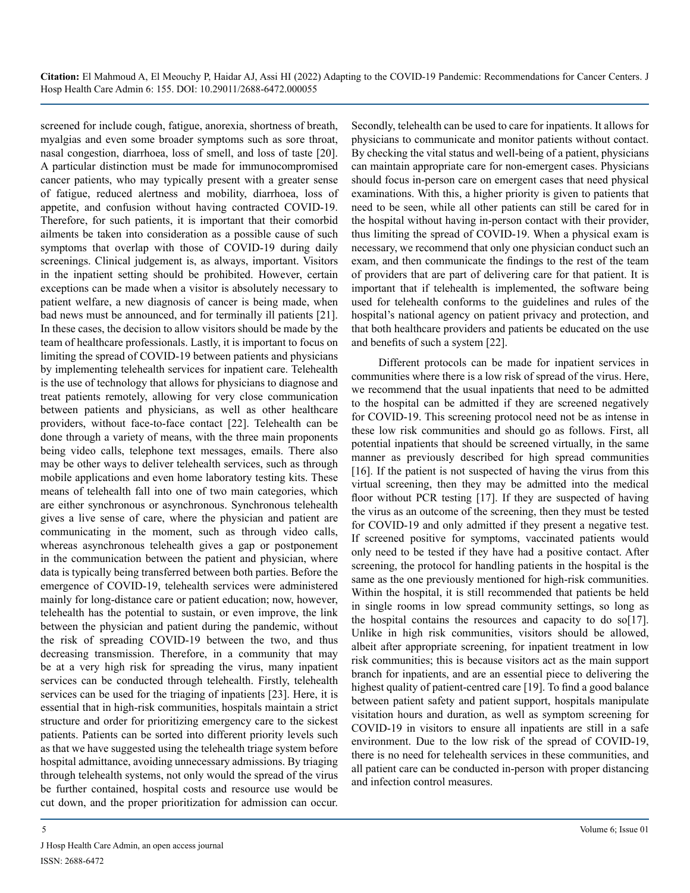screened for include cough, fatigue, anorexia, shortness of breath, myalgias and even some broader symptoms such as sore throat, nasal congestion, diarrhoea, loss of smell, and loss of taste [20]. A particular distinction must be made for immunocompromised cancer patients, who may typically present with a greater sense of fatigue, reduced alertness and mobility, diarrhoea, loss of appetite, and confusion without having contracted COVID-19. Therefore, for such patients, it is important that their comorbid ailments be taken into consideration as a possible cause of such symptoms that overlap with those of COVID-19 during daily screenings. Clinical judgement is, as always, important. Visitors in the inpatient setting should be prohibited. However, certain exceptions can be made when a visitor is absolutely necessary to patient welfare, a new diagnosis of cancer is being made, when bad news must be announced, and for terminally ill patients [21]. In these cases, the decision to allow visitors should be made by the team of healthcare professionals. Lastly, it is important to focus on limiting the spread of COVID-19 between patients and physicians by implementing telehealth services for inpatient care. Telehealth is the use of technology that allows for physicians to diagnose and treat patients remotely, allowing for very close communication between patients and physicians, as well as other healthcare providers, without face-to-face contact [22]. Telehealth can be done through a variety of means, with the three main proponents being video calls, telephone text messages, emails. There also may be other ways to deliver telehealth services, such as through mobile applications and even home laboratory testing kits. These means of telehealth fall into one of two main categories, which are either synchronous or asynchronous. Synchronous telehealth gives a live sense of care, where the physician and patient are communicating in the moment, such as through video calls, whereas asynchronous telehealth gives a gap or postponement in the communication between the patient and physician, where data is typically being transferred between both parties. Before the emergence of COVID-19, telehealth services were administered mainly for long-distance care or patient education; now, however, telehealth has the potential to sustain, or even improve, the link between the physician and patient during the pandemic, without the risk of spreading COVID-19 between the two, and thus decreasing transmission. Therefore, in a community that may be at a very high risk for spreading the virus, many inpatient services can be conducted through telehealth. Firstly, telehealth services can be used for the triaging of inpatients [23]. Here, it is essential that in high-risk communities, hospitals maintain a strict structure and order for prioritizing emergency care to the sickest patients. Patients can be sorted into different priority levels such as that we have suggested using the telehealth triage system before hospital admittance, avoiding unnecessary admissions. By triaging through telehealth systems, not only would the spread of the virus be further contained, hospital costs and resource use would be cut down, and the proper prioritization for admission can occur.

J Hosp Health Care Admin, an open access journal ISSN: 2688-6472

Secondly, telehealth can be used to care for inpatients. It allows for physicians to communicate and monitor patients without contact. By checking the vital status and well-being of a patient, physicians can maintain appropriate care for non-emergent cases. Physicians should focus in-person care on emergent cases that need physical examinations. With this, a higher priority is given to patients that need to be seen, while all other patients can still be cared for in the hospital without having in-person contact with their provider, thus limiting the spread of COVID-19. When a physical exam is necessary, we recommend that only one physician conduct such an exam, and then communicate the findings to the rest of the team of providers that are part of delivering care for that patient. It is important that if telehealth is implemented, the software being used for telehealth conforms to the guidelines and rules of the hospital's national agency on patient privacy and protection, and that both healthcare providers and patients be educated on the use and benefits of such a system [22].

Different protocols can be made for inpatient services in communities where there is a low risk of spread of the virus. Here, we recommend that the usual inpatients that need to be admitted to the hospital can be admitted if they are screened negatively for COVID-19. This screening protocol need not be as intense in these low risk communities and should go as follows. First, all potential inpatients that should be screened virtually, in the same manner as previously described for high spread communities [16]. If the patient is not suspected of having the virus from this virtual screening, then they may be admitted into the medical floor without PCR testing [17]. If they are suspected of having the virus as an outcome of the screening, then they must be tested for COVID-19 and only admitted if they present a negative test. If screened positive for symptoms, vaccinated patients would only need to be tested if they have had a positive contact. After screening, the protocol for handling patients in the hospital is the same as the one previously mentioned for high-risk communities. Within the hospital, it is still recommended that patients be held in single rooms in low spread community settings, so long as the hospital contains the resources and capacity to do so[17]. Unlike in high risk communities, visitors should be allowed, albeit after appropriate screening, for inpatient treatment in low risk communities; this is because visitors act as the main support branch for inpatients, and are an essential piece to delivering the highest quality of patient-centred care [19]. To find a good balance between patient safety and patient support, hospitals manipulate visitation hours and duration, as well as symptom screening for COVID-19 in visitors to ensure all inpatients are still in a safe environment. Due to the low risk of the spread of COVID-19, there is no need for telehealth services in these communities, and all patient care can be conducted in-person with proper distancing and infection control measures.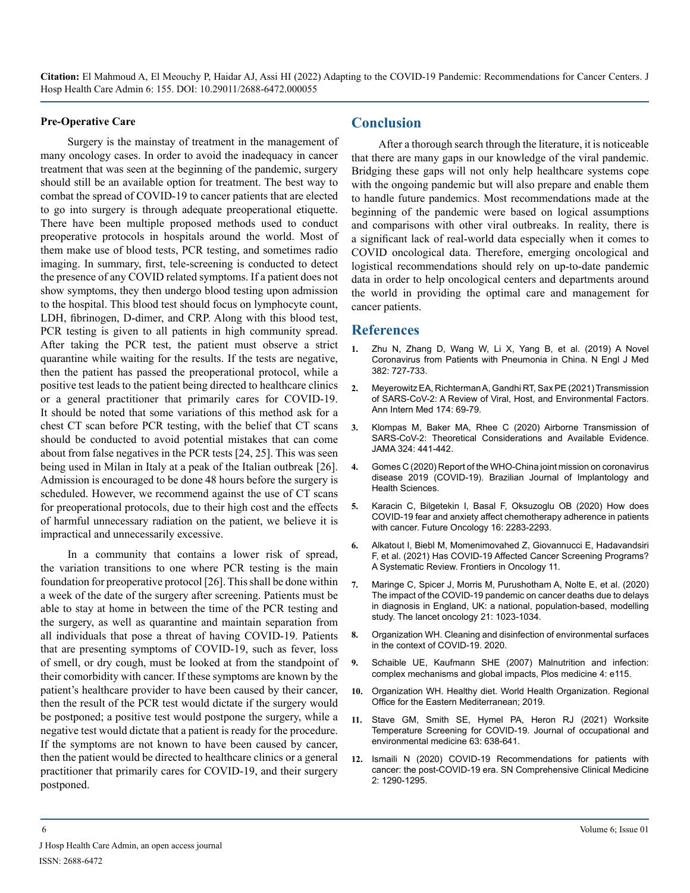#### **Pre-Operative Care**

Surgery is the mainstay of treatment in the management of many oncology cases. In order to avoid the inadequacy in cancer treatment that was seen at the beginning of the pandemic, surgery should still be an available option for treatment. The best way to combat the spread of COVID-19 to cancer patients that are elected to go into surgery is through adequate preoperational etiquette. There have been multiple proposed methods used to conduct preoperative protocols in hospitals around the world. Most of them make use of blood tests, PCR testing, and sometimes radio imaging. In summary, first, tele-screening is conducted to detect the presence of any COVID related symptoms. If a patient does not show symptoms, they then undergo blood testing upon admission to the hospital. This blood test should focus on lymphocyte count, LDH, fibrinogen, D-dimer, and CRP. Along with this blood test, PCR testing is given to all patients in high community spread. After taking the PCR test, the patient must observe a strict quarantine while waiting for the results. If the tests are negative, then the patient has passed the preoperational protocol, while a positive test leads to the patient being directed to healthcare clinics or a general practitioner that primarily cares for COVID-19. It should be noted that some variations of this method ask for a chest CT scan before PCR testing, with the belief that CT scans should be conducted to avoid potential mistakes that can come about from false negatives in the PCR tests [24, 25]. This was seen being used in Milan in Italy at a peak of the Italian outbreak [26]. Admission is encouraged to be done 48 hours before the surgery is scheduled. However, we recommend against the use of CT scans for preoperational protocols, due to their high cost and the effects of harmful unnecessary radiation on the patient, we believe it is impractical and unnecessarily excessive.

In a community that contains a lower risk of spread, the variation transitions to one where PCR testing is the main foundation for preoperative protocol [26]. This shall be done within a week of the date of the surgery after screening. Patients must be able to stay at home in between the time of the PCR testing and the surgery, as well as quarantine and maintain separation from all individuals that pose a threat of having COVID-19. Patients that are presenting symptoms of COVID-19, such as fever, loss of smell, or dry cough, must be looked at from the standpoint of their comorbidity with cancer. If these symptoms are known by the patient's healthcare provider to have been caused by their cancer, then the result of the PCR test would dictate if the surgery would be postponed; a positive test would postpone the surgery, while a negative test would dictate that a patient is ready for the procedure. If the symptoms are not known to have been caused by cancer, then the patient would be directed to healthcare clinics or a general practitioner that primarily cares for COVID-19, and their surgery postponed.

## **Conclusion**

After a thorough search through the literature, it is noticeable that there are many gaps in our knowledge of the viral pandemic. Bridging these gaps will not only help healthcare systems cope with the ongoing pandemic but will also prepare and enable them to handle future pandemics. Most recommendations made at the beginning of the pandemic were based on logical assumptions and comparisons with other viral outbreaks. In reality, there is a significant lack of real-world data especially when it comes to COVID oncological data. Therefore, emerging oncological and logistical recommendations should rely on up-to-date pandemic data in order to help oncological centers and departments around the world in providing the optimal care and management for cancer patients.

## **References**

- **1.** [Zhu N, Zhang D, Wang W, Li X, Yang B, et al. \(2019\) A Novel](https://pubmed.ncbi.nlm.nih.gov/31978945/)  [Coronavirus from Patients with Pneumonia in China. N Engl J Med](https://pubmed.ncbi.nlm.nih.gov/31978945/)  [382: 727-733.](https://pubmed.ncbi.nlm.nih.gov/31978945/)
- **2.** [Meyerowitz EA, Richterman A, Gandhi RT, Sax PE \(2021\) Transmission](https://pubmed.ncbi.nlm.nih.gov/32941052/)  [of SARS-CoV-2: A Review of Viral, Host, and Environmental Factors.](https://pubmed.ncbi.nlm.nih.gov/32941052/)  [Ann Intern Med 174: 69-79.](https://pubmed.ncbi.nlm.nih.gov/32941052/)
- **3.** [Klompas M, Baker MA, Rhee C \(2020\) Airborne Transmission of](https://jamanetwork.com/journals/jama/articlepdf/2768396/jama_klompas_2020_vp_200144.pdf)  [SARS-CoV-2: Theoretical Considerations and Available Evidence.](https://jamanetwork.com/journals/jama/articlepdf/2768396/jama_klompas_2020_vp_200144.pdf)  [JAMA 324: 441-442.](https://jamanetwork.com/journals/jama/articlepdf/2768396/jama_klompas_2020_vp_200144.pdf)
- **4.** [Gomes C \(2020\) Report of the WHO-China joint mission on coronavirus](https://bjihs.emnuvens.com.br/bjihs/article/view/172)  [disease 2019 \(COVID-19\). Brazilian Journal of Implantology and](https://bjihs.emnuvens.com.br/bjihs/article/view/172)  [Health Sciences.](https://bjihs.emnuvens.com.br/bjihs/article/view/172)
- **5.** [Karacin C, Bilgetekin I, Basal F, Oksuzoglu OB \(2020\) How does](https://www.ncbi.nlm.nih.gov/pmc/articles/PMC7367513/)  [COVID-19 fear and anxiety affect chemotherapy adherence in patients](https://www.ncbi.nlm.nih.gov/pmc/articles/PMC7367513/)  [with cancer. Future Oncology 16: 2283-2293.](https://www.ncbi.nlm.nih.gov/pmc/articles/PMC7367513/)
- **6.** [Alkatout I, Biebl M, Momenimovahed Z, Giovannucci E, Hadavandsiri](https://www.frontiersin.org/articles/10.3389/fonc.2021.675038/full)  [F, et al. \(2021\) Has COVID-19 Affected Cancer Screening Programs?](https://www.frontiersin.org/articles/10.3389/fonc.2021.675038/full)  [A Systematic Review. Frontiers in Oncology 11.](https://www.frontiersin.org/articles/10.3389/fonc.2021.675038/full)
- **7.** [Maringe C, Spicer J, Morris M, Purushotham A, Nolte E, et al. \(2020\)](https://www.thelancet.com/journals/lanonc/article/PIIS1470-2045(20)30388-0/fulltext)  [The impact of the COVID-19 pandemic on cancer deaths due to delays](https://www.thelancet.com/journals/lanonc/article/PIIS1470-2045(20)30388-0/fulltext)  [in diagnosis in England, UK: a national, population-based, modelling](https://www.thelancet.com/journals/lanonc/article/PIIS1470-2045(20)30388-0/fulltext)  [study. The lancet oncology 21: 1023-1034.](https://www.thelancet.com/journals/lanonc/article/PIIS1470-2045(20)30388-0/fulltext)
- **8.** [Organization WH. Cleaning and disinfection of environmental surfaces](https://www.who.int/publications/i/item/cleaning-and-disinfection-of-environmental-surfaces-inthe-context-of-covid-19)  [in the context of COVID-19. 2020.](https://www.who.int/publications/i/item/cleaning-and-disinfection-of-environmental-surfaces-inthe-context-of-covid-19)
- **9.** [Schaible UE, Kaufmann SHE \(2007\) Malnutrition and infection:](https://journals.plos.org/plosmedicine/article?id=10.1371/journal.pmed.0040115)  [complex mechanisms and global impacts, Plos medicine 4: e115.](https://journals.plos.org/plosmedicine/article?id=10.1371/journal.pmed.0040115)
- **10.** [Organization WH. Healthy diet. World Health Organization. Regional](https://apps.who.int/iris/bitstream/handle/10665/325828/EMROPUB_2019_en_23536.pdf?sequence=1&isAllowed=y)  [Office for the Eastern Mediterranean; 2019.](https://apps.who.int/iris/bitstream/handle/10665/325828/EMROPUB_2019_en_23536.pdf?sequence=1&isAllowed=y)
- **11.** [Stave GM, Smith SE, Hymel PA, Heron RJ \(2021\) Worksite](https://pubmed.ncbi.nlm.nih.gov/33908386/)  [Temperature Screening for COVID-19. Journal of occupational and](https://pubmed.ncbi.nlm.nih.gov/33908386/)  [environmental medicine 63: 638-641.](https://pubmed.ncbi.nlm.nih.gov/33908386/)
- **12.** [Ismaili N \(2020\) COVID-19 Recommendations for patients with](https://link.springer.com/article/10.1007/s42399-020-00425-7)  [cancer: the post-COVID-19 era. SN Comprehensive Clinical Medicine](https://link.springer.com/article/10.1007/s42399-020-00425-7)  [2: 1290-1295.](https://link.springer.com/article/10.1007/s42399-020-00425-7)